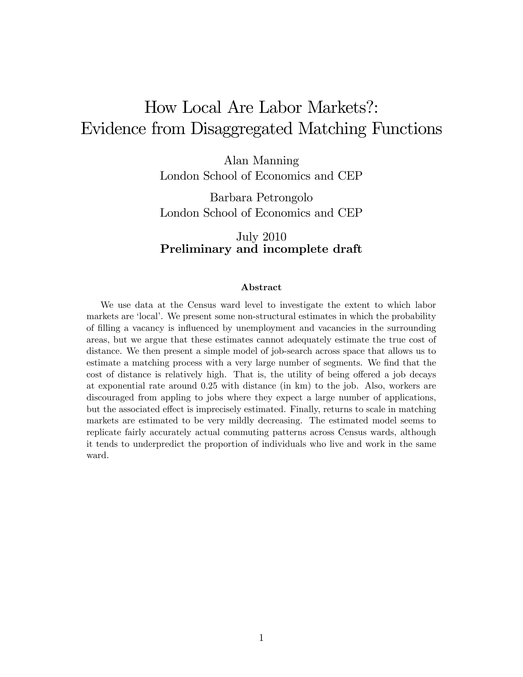# How Local Are Labor Markets?: Evidence from Disaggregated Matching Functions

Alan Manning London School of Economics and CEP

Barbara Petrongolo London School of Economics and CEP

### July 2010 Preliminary and incomplete draft

#### Abstract

We use data at the Census ward level to investigate the extent to which labor markets are 'local'. We present some non-structural estimates in which the probability of Ölling a vacancy is ináuenced by unemployment and vacancies in the surrounding areas, but we argue that these estimates cannot adequately estimate the true cost of distance. We then present a simple model of job-search across space that allows us to estimate a matching process with a very large number of segments. We find that the cost of distance is relatively high. That is, the utility of being offered a job decays at exponential rate around 0.25 with distance (in km) to the job. Also, workers are discouraged from appling to jobs where they expect a large number of applications, but the associated effect is imprecisely estimated. Finally, returns to scale in matching markets are estimated to be very mildly decreasing. The estimated model seems to replicate fairly accurately actual commuting patterns across Census wards, although it tends to underpredict the proportion of individuals who live and work in the same ward.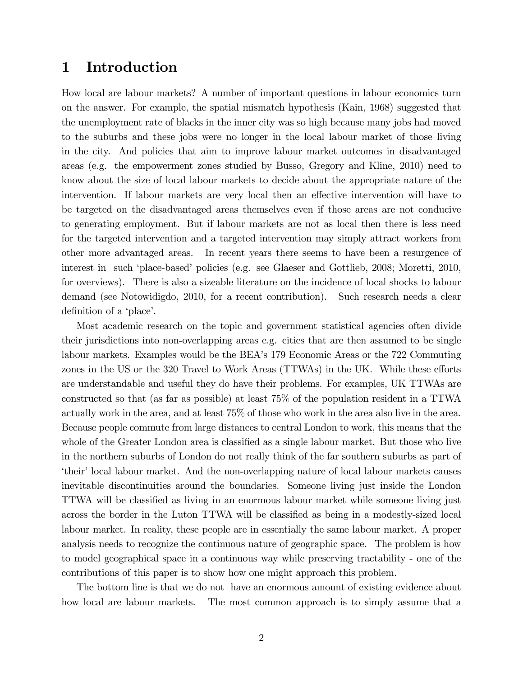# 1 Introduction

How local are labour markets? A number of important questions in labour economics turn on the answer. For example, the spatial mismatch hypothesis (Kain, 1968) suggested that the unemployment rate of blacks in the inner city was so high because many jobs had moved to the suburbs and these jobs were no longer in the local labour market of those living in the city. And policies that aim to improve labour market outcomes in disadvantaged areas (e.g. the empowerment zones studied by Busso, Gregory and Kline, 2010) need to know about the size of local labour markets to decide about the appropriate nature of the intervention. If labour markets are very local then an effective intervention will have to be targeted on the disadvantaged areas themselves even if those areas are not conducive to generating employment. But if labour markets are not as local then there is less need for the targeted intervention and a targeted intervention may simply attract workers from other more advantaged areas. In recent years there seems to have been a resurgence of interest in such 'place-based' policies (e.g. see Glaeser and Gottlieb, 2008; Moretti, 2010, for overviews). There is also a sizeable literature on the incidence of local shocks to labour demand (see Notowidigdo, 2010, for a recent contribution). Such research needs a clear definition of a 'place'.

Most academic research on the topic and government statistical agencies often divide their jurisdictions into non-overlapping areas e.g. cities that are then assumed to be single labour markets. Examples would be the BEA's 179 Economic Areas or the 722 Commuting zones in the US or the 320 Travel to Work Areas (TTWAs) in the UK. While these efforts are understandable and useful they do have their problems. For examples, UK TTWAs are constructed so that (as far as possible) at least 75% of the population resident in a TTWA actually work in the area, and at least 75% of those who work in the area also live in the area. Because people commute from large distances to central London to work, this means that the whole of the Greater London area is classified as a single labour market. But those who live in the northern suburbs of London do not really think of the far southern suburbs as part of ëtheirílocal labour market. And the non-overlapping nature of local labour markets causes inevitable discontinuities around the boundaries. Someone living just inside the London TTWA will be classified as living in an enormous labour market while someone living just across the border in the Luton TTWA will be classified as being in a modestly-sized local labour market. In reality, these people are in essentially the same labour market. A proper analysis needs to recognize the continuous nature of geographic space. The problem is how to model geographical space in a continuous way while preserving tractability - one of the contributions of this paper is to show how one might approach this problem.

The bottom line is that we do not have an enormous amount of existing evidence about how local are labour markets. The most common approach is to simply assume that a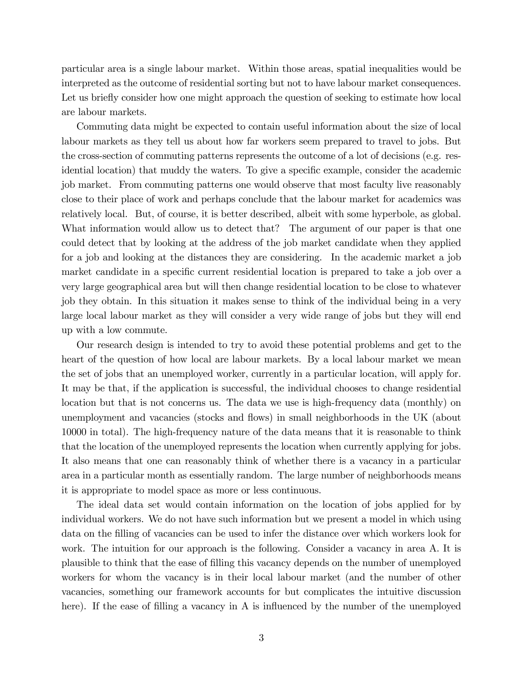particular area is a single labour market. Within those areas, spatial inequalities would be interpreted as the outcome of residential sorting but not to have labour market consequences. Let us briefly consider how one might approach the question of seeking to estimate how local are labour markets.

Commuting data might be expected to contain useful information about the size of local labour markets as they tell us about how far workers seem prepared to travel to jobs. But the cross-section of commuting patterns represents the outcome of a lot of decisions (e.g. residential location) that muddy the waters. To give a specific example, consider the academic job market. From commuting patterns one would observe that most faculty live reasonably close to their place of work and perhaps conclude that the labour market for academics was relatively local. But, of course, it is better described, albeit with some hyperbole, as global. What information would allow us to detect that? The argument of our paper is that one could detect that by looking at the address of the job market candidate when they applied for a job and looking at the distances they are considering. In the academic market a job market candidate in a specific current residential location is prepared to take a job over a very large geographical area but will then change residential location to be close to whatever job they obtain. In this situation it makes sense to think of the individual being in a very large local labour market as they will consider a very wide range of jobs but they will end up with a low commute.

Our research design is intended to try to avoid these potential problems and get to the heart of the question of how local are labour markets. By a local labour market we mean the set of jobs that an unemployed worker, currently in a particular location, will apply for. It may be that, if the application is successful, the individual chooses to change residential location but that is not concerns us. The data we use is high-frequency data (monthly) on unemployment and vacancies (stocks and flows) in small neighborhoods in the UK (about 10000 in total). The high-frequency nature of the data means that it is reasonable to think that the location of the unemployed represents the location when currently applying for jobs. It also means that one can reasonably think of whether there is a vacancy in a particular area in a particular month as essentially random. The large number of neighborhoods means it is appropriate to model space as more or less continuous.

The ideal data set would contain information on the location of jobs applied for by individual workers. We do not have such information but we present a model in which using data on the filling of vacancies can be used to infer the distance over which workers look for work. The intuition for our approach is the following. Consider a vacancy in area A. It is plausible to think that the ease of Ölling this vacancy depends on the number of unemployed workers for whom the vacancy is in their local labour market (and the number of other vacancies, something our framework accounts for but complicates the intuitive discussion here). If the ease of filling a vacancy in A is influenced by the number of the unemployed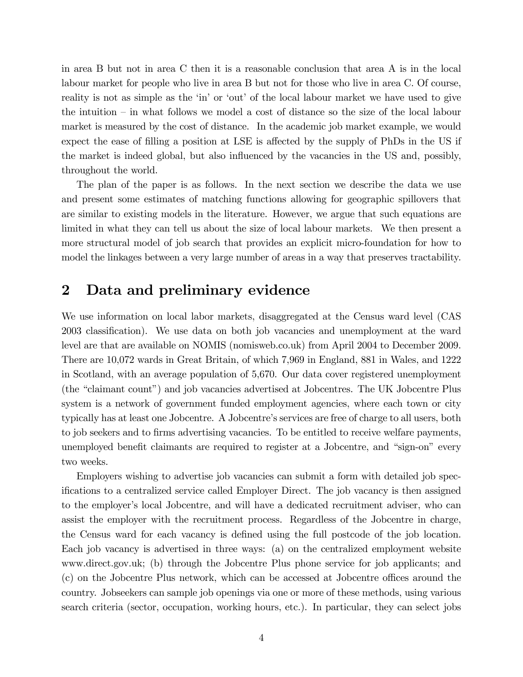in area B but not in area C then it is a reasonable conclusion that area A is in the local labour market for people who live in area B but not for those who live in area C. Of course, reality is not as simple as the 'in' or 'out' of the local labour market we have used to give the intuition  $\overline{\phantom{a}}$  in what follows we model a cost of distance so the size of the local labour market is measured by the cost of distance. In the academic job market example, we would expect the ease of filling a position at LSE is affected by the supply of PhDs in the US if the market is indeed global, but also influenced by the vacancies in the US and, possibly, throughout the world.

The plan of the paper is as follows. In the next section we describe the data we use and present some estimates of matching functions allowing for geographic spillovers that are similar to existing models in the literature. However, we argue that such equations are limited in what they can tell us about the size of local labour markets. We then present a more structural model of job search that provides an explicit micro-foundation for how to model the linkages between a very large number of areas in a way that preserves tractability.

# 2 Data and preliminary evidence

We use information on local labor markets, disaggregated at the Census ward level (CAS 2003 classification). We use data on both job vacancies and unemployment at the ward level are that are available on NOMIS (nomisweb.co.uk) from April 2004 to December 2009. There are 10,072 wards in Great Britain, of which 7,969 in England, 881 in Wales, and 1222 in Scotland, with an average population of 5,670. Our data cover registered unemployment (the "claimant count") and job vacancies advertised at Jobcentres. The UK Jobcentre Plus system is a network of government funded employment agencies, where each town or city typically has at least one Jobcentre. A Jobcentre's services are free of charge to all users, both to job seekers and to firms advertising vacancies. To be entitled to receive welfare payments, unemployed benefit claimants are required to register at a Jobcentre, and "sign-on" every two weeks.

Employers wishing to advertise job vacancies can submit a form with detailed job specifications to a centralized service called Employer Direct. The job vacancy is then assigned to the employer's local Jobcentre, and will have a dedicated recruitment adviser, who can assist the employer with the recruitment process. Regardless of the Jobcentre in charge, the Census ward for each vacancy is defined using the full postcode of the job location. Each job vacancy is advertised in three ways: (a) on the centralized employment website www.direct.gov.uk; (b) through the Jobcentre Plus phone service for job applicants; and (c) on the Jobcentre Plus network, which can be accessed at Jobcentre offices around the country. Jobseekers can sample job openings via one or more of these methods, using various search criteria (sector, occupation, working hours, etc.). In particular, they can select jobs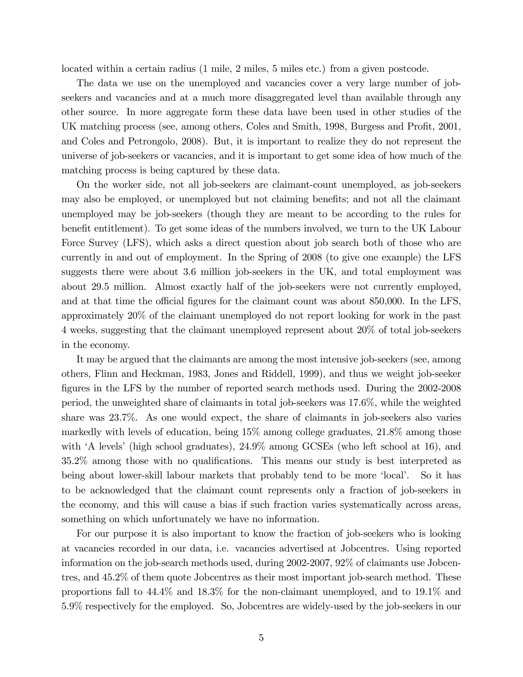located within a certain radius (1 mile, 2 miles, 5 miles etc.) from a given postcode.

The data we use on the unemployed and vacancies cover a very large number of jobseekers and vacancies and at a much more disaggregated level than available through any other source. In more aggregate form these data have been used in other studies of the UK matching process (see, among others, Coles and Smith, 1998, Burgess and Profit, 2001, and Coles and Petrongolo, 2008). But, it is important to realize they do not represent the universe of job-seekers or vacancies, and it is important to get some idea of how much of the matching process is being captured by these data.

On the worker side, not all job-seekers are claimant-count unemployed, as job-seekers may also be employed, or unemployed but not claiming benefits; and not all the claimant unemployed may be job-seekers (though they are meant to be according to the rules for benefit entitlement). To get some ideas of the numbers involved, we turn to the UK Labour Force Survey (LFS), which asks a direct question about job search both of those who are currently in and out of employment. In the Spring of 2008 (to give one example) the LFS suggests there were about 3.6 million job-seekers in the UK, and total employment was about 29.5 million. Almost exactly half of the job-seekers were not currently employed, and at that time the official figures for the claimant count was about 850,000. In the LFS, approximately 20% of the claimant unemployed do not report looking for work in the past 4 weeks, suggesting that the claimant unemployed represent about 20% of total job-seekers in the economy.

It may be argued that the claimants are among the most intensive job-seekers (see, among others, Flinn and Heckman, 1983, Jones and Riddell, 1999), and thus we weight job-seeker figures in the LFS by the number of reported search methods used. During the 2002-2008 period, the unweighted share of claimants in total job-seekers was 17.6%, while the weighted share was 23.7%. As one would expect, the share of claimants in job-seekers also varies markedly with levels of education, being 15% among college graduates, 21.8% among those with  $\hat{A}$  levels' (high school graduates),  $24.9\%$  among GCSEs (who left school at 16), and 35.2% among those with no qualifications. This means our study is best interpreted as being about lower-skill labour markets that probably tend to be more 'local'. So it has to be acknowledged that the claimant count represents only a fraction of job-seekers in the economy, and this will cause a bias if such fraction varies systematically across areas, something on which unfortunately we have no information.

For our purpose it is also important to know the fraction of job-seekers who is looking at vacancies recorded in our data, i.e. vacancies advertised at Jobcentres. Using reported information on the job-search methods used, during 2002-2007, 92% of claimants use Jobcentres, and 45.2% of them quote Jobcentres as their most important job-search method. These proportions fall to 44.4% and 18.3% for the non-claimant unemployed, and to 19.1% and 5.9% respectively for the employed. So, Jobcentres are widely-used by the job-seekers in our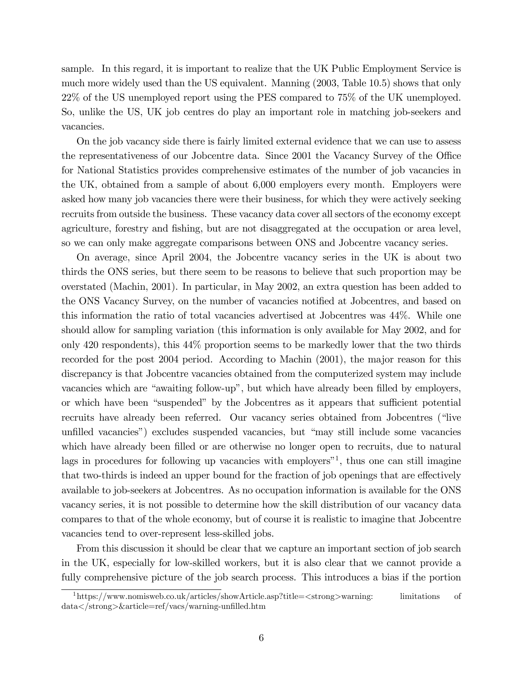sample. In this regard, it is important to realize that the UK Public Employment Service is much more widely used than the US equivalent. Manning (2003, Table 10.5) shows that only 22% of the US unemployed report using the PES compared to 75% of the UK unemployed. So, unlike the US, UK job centres do play an important role in matching job-seekers and vacancies.

On the job vacancy side there is fairly limited external evidence that we can use to assess the representativeness of our Jobcentre data. Since 2001 the Vacancy Survey of the Office for National Statistics provides comprehensive estimates of the number of job vacancies in the UK, obtained from a sample of about 6,000 employers every month. Employers were asked how many job vacancies there were their business, for which they were actively seeking recruits from outside the business. These vacancy data cover all sectors of the economy except agriculture, forestry and fishing, but are not disaggregated at the occupation or area level, so we can only make aggregate comparisons between ONS and Jobcentre vacancy series.

On average, since April 2004, the Jobcentre vacancy series in the UK is about two thirds the ONS series, but there seem to be reasons to believe that such proportion may be overstated (Machin, 2001). In particular, in May 2002, an extra question has been added to the ONS Vacancy Survey, on the number of vacancies notified at Jobcentres, and based on this information the ratio of total vacancies advertised at Jobcentres was 44%. While one should allow for sampling variation (this information is only available for May 2002, and for only 420 respondents), this 44% proportion seems to be markedly lower that the two thirds recorded for the post 2004 period. According to Machin (2001), the major reason for this discrepancy is that Jobcentre vacancies obtained from the computerized system may include vacancies which are "awaiting follow-up", but which have already been filled by employers, or which have been "suspended" by the Jobcentres as it appears that sufficient potential recruits have already been referred. Our vacancy series obtained from Jobcentres ("live unfilled vacancies") excludes suspended vacancies, but "may still include some vacancies which have already been filled or are otherwise no longer open to recruits, due to natural lags in procedures for following up vacancies with employers<sup> $n_1$ </sup>, thus one can still imagine that two-thirds is indeed an upper bound for the fraction of job openings that are effectively available to job-seekers at Jobcentres. As no occupation information is available for the ONS vacancy series, it is not possible to determine how the skill distribution of our vacancy data compares to that of the whole economy, but of course it is realistic to imagine that Jobcentre vacancies tend to over-represent less-skilled jobs.

From this discussion it should be clear that we capture an important section of job search in the UK, especially for low-skilled workers, but it is also clear that we cannot provide a fully comprehensive picture of the job search process. This introduces a bias if the portion

<sup>&</sup>lt;sup>1</sup>https://www.nomisweb.co.uk/articles/showArticle.asp?title= $\lt$ strong>warning: limitations of data</strong>&article=ref/vacs/warning-unfilled.htm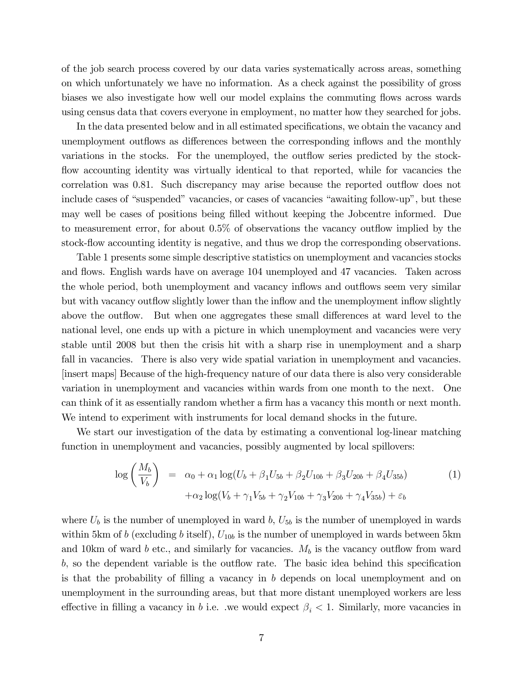of the job search process covered by our data varies systematically across areas, something on which unfortunately we have no information. As a check against the possibility of gross biases we also investigate how well our model explains the commuting flows across wards using census data that covers everyone in employment, no matter how they searched for jobs.

In the data presented below and in all estimated specifications, we obtain the vacancy and unemployment outflows as differences between the corresponding inflows and the monthly variations in the stocks. For the unemployed, the outflow series predicted by the stockflow accounting identity was virtually identical to that reported, while for vacancies the correlation was 0.81. Such discrepancy may arise because the reported outflow does not include cases of "suspended" vacancies, or cases of vacancies "awaiting follow-up", but these may well be cases of positions being filled without keeping the Jobcentre informed. Due to measurement error, for about 0.5% of observations the vacancy outflow implied by the stock-flow accounting identity is negative, and thus we drop the corresponding observations.

Table 1 presents some simple descriptive statistics on unemployment and vacancies stocks and flows. English wards have on average 104 unemployed and 47 vacancies. Taken across the whole period, both unemployment and vacancy inflows and outflows seem very similar but with vacancy outflow slightly lower than the inflow and the unemployment inflow slightly above the outflow. But when one aggregates these small differences at ward level to the national level, one ends up with a picture in which unemployment and vacancies were very stable until 2008 but then the crisis hit with a sharp rise in unemployment and a sharp fall in vacancies. There is also very wide spatial variation in unemployment and vacancies. [insert maps] Because of the high-frequency nature of our data there is also very considerable variation in unemployment and vacancies within wards from one month to the next. One can think of it as essentially random whether a firm has a vacancy this month or next month. We intend to experiment with instruments for local demand shocks in the future.

We start our investigation of the data by estimating a conventional log-linear matching function in unemployment and vacancies, possibly augmented by local spillovers:

$$
\log\left(\frac{M_b}{V_b}\right) = \alpha_0 + \alpha_1 \log(U_b + \beta_1 U_{5b} + \beta_2 U_{10b} + \beta_3 U_{20b} + \beta_4 U_{35b})
$$
\n
$$
+ \alpha_2 \log(V_b + \gamma_1 V_{5b} + \gamma_2 V_{10b} + \gamma_3 V_{20b} + \gamma_4 V_{35b}) + \varepsilon_b
$$
\n(1)

where  $U_b$  is the number of unemployed in ward b,  $U_{5b}$  is the number of unemployed in wards within 5km of b (excluding b itself),  $U_{10b}$  is the number of unemployed in wards between 5km and 10km of ward b etc., and similarly for vacancies.  $M_b$  is the vacancy outflow from ward  $b$ , so the dependent variable is the outflow rate. The basic idea behind this specification is that the probability of filling a vacancy in  $b$  depends on local unemployment and on unemployment in the surrounding areas, but that more distant unemployed workers are less effective in filling a vacancy in b i.e. we would expect  $\beta_i < 1$ . Similarly, more vacancies in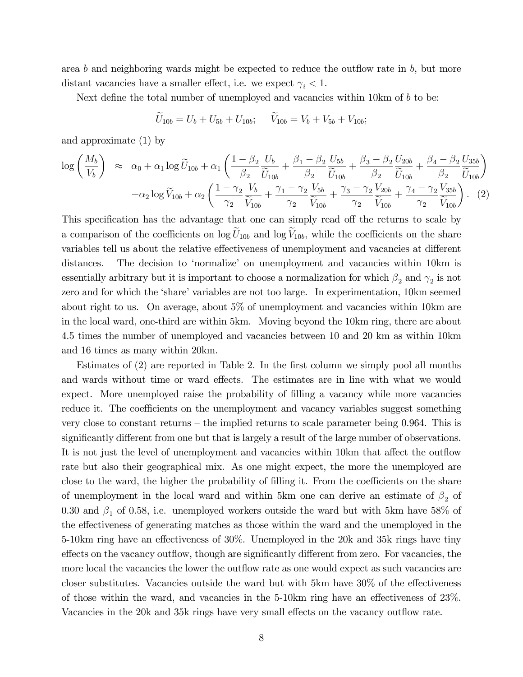area b and neighboring wards might be expected to reduce the outflow rate in  $b$ , but more distant vacancies have a smaller effect, i.e. we expect  $\gamma_i < 1$ .

Next define the total number of unemployed and vacancies within  $10km$  of  $b$  to be:

$$
U_{10b} = U_b + U_{5b} + U_{10b}; \quad V_{10b} = V_b + V_{5b} + V_{10b};
$$

and approximate (1) by

$$
\log\left(\frac{M_b}{V_b}\right) \approx \alpha_0 + \alpha_1 \log \widetilde{U}_{10b} + \alpha_1 \left(\frac{1-\beta_2}{\beta_2} \frac{U_b}{\widetilde{U}_{10b}} + \frac{\beta_1 - \beta_2}{\beta_2} \frac{U_{5b}}{\widetilde{U}_{10b}} + \frac{\beta_3 - \beta_2}{\beta_2} \frac{U_{20b}}{\widetilde{U}_{10b}} + \frac{\beta_4 - \beta_2}{\beta_2} \frac{U_{35b}}{\widetilde{U}_{10b}}\right) + \alpha_2 \log \widetilde{V}_{10b} + \alpha_2 \left(\frac{1-\gamma_2}{\gamma_2} \frac{V_b}{\widetilde{V}_{10b}} + \frac{\gamma_1 - \gamma_2}{\gamma_2} \frac{V_{5b}}{\widetilde{V}_{10b}} + \frac{\gamma_3 - \gamma_2}{\gamma_2} \frac{V_{20b}}{\widetilde{V}_{10b}} + \frac{\gamma_4 - \gamma_2}{\gamma_2} \frac{V_{35b}}{\widetilde{V}_{10b}}\right). (2)
$$

This specification has the advantage that one can simply read off the returns to scale by a comparison of the coefficients on log  $U_{10b}$  and log  $V_{10b}$ , while the coefficients on the share variables tell us about the relative effectiveness of unemployment and vacancies at different distances. The decision to 'normalize' on unemployment and vacancies within 10km is essentially arbitrary but it is important to choose a normalization for which  $\beta_2$  and  $\gamma_2$  is not zero and for which the 'share' variables are not too large. In experimentation, 10km seemed about right to us. On average, about 5% of unemployment and vacancies within 10km are in the local ward, one-third are within 5km. Moving beyond the 10km ring, there are about 4.5 times the number of unemployed and vacancies between 10 and 20 km as within 10km and 16 times as many within 20km.

Estimates of  $(2)$  are reported in Table 2. In the first column we simply pool all months and wards without time or ward effects. The estimates are in line with what we would expect. More unemployed raise the probability of filling a vacancy while more vacancies reduce it. The coefficients on the unemployment and vacancy variables suggest something very close to constant returns – the implied returns to scale parameter being 0.964. This is significantly different from one but that is largely a result of the large number of observations. It is not just the level of unemployment and vacancies within 10km that affect the outflow rate but also their geographical mix. As one might expect, the more the unemployed are close to the ward, the higher the probability of filling it. From the coefficients on the share of unemployment in the local ward and within 5km one can derive an estimate of  $\beta_2$  of 0.30 and  $\beta_1$  of 0.58, i.e. unemployed workers outside the ward but with 5km have 58% of the effectiveness of generating matches as those within the ward and the unemployed in the 5-10 km ring have an effectiveness of  $30\%$ . Unemployed in the 20k and 35k rings have tiny effects on the vacancy outflow, though are significantly different from zero. For vacancies, the more local the vacancies the lower the outflow rate as one would expect as such vacancies are closer substitutes. Vacancies outside the ward but with 5km have  $30\%$  of the effectiveness of those within the ward, and vacancies in the 5-10 km ring have an effectiveness of  $23\%$ . Vacancies in the 20k and 35k rings have very small effects on the vacancy outflow rate.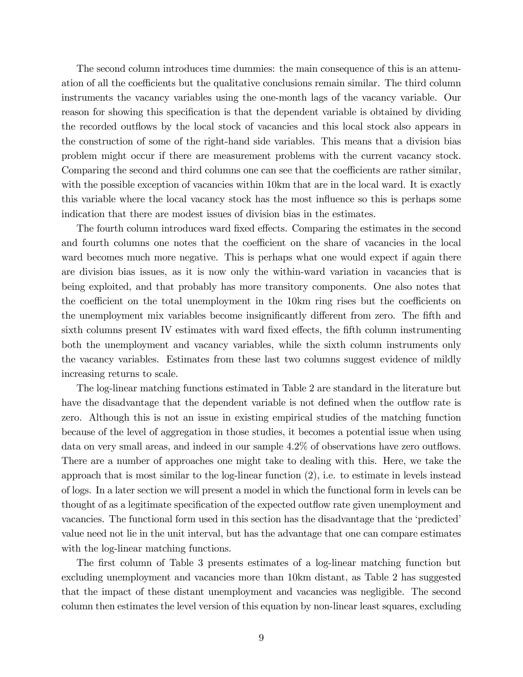The second column introduces time dummies: the main consequence of this is an attenuation of all the coefficients but the qualitative conclusions remain similar. The third column instruments the vacancy variables using the one-month lags of the vacancy variable. Our reason for showing this specification is that the dependent variable is obtained by dividing the recorded outflows by the local stock of vacancies and this local stock also appears in the construction of some of the right-hand side variables. This means that a division bias problem might occur if there are measurement problems with the current vacancy stock. Comparing the second and third columns one can see that the coefficients are rather similar, with the possible exception of vacancies within 10km that are in the local ward. It is exactly this variable where the local vacancy stock has the most influence so this is perhaps some indication that there are modest issues of division bias in the estimates.

The fourth column introduces ward fixed effects. Comparing the estimates in the second and fourth columns one notes that the coefficient on the share of vacancies in the local ward becomes much more negative. This is perhaps what one would expect if again there are division bias issues, as it is now only the within-ward variation in vacancies that is being exploited, and that probably has more transitory components. One also notes that the coefficient on the total unemployment in the 10km ring rises but the coefficients on the unemployment mix variables become insignificantly different from zero. The fifth and sixth columns present IV estimates with ward fixed effects, the fifth column instrumenting both the unemployment and vacancy variables, while the sixth column instruments only the vacancy variables. Estimates from these last two columns suggest evidence of mildly increasing returns to scale.

The log-linear matching functions estimated in Table 2 are standard in the literature but have the disadvantage that the dependent variable is not defined when the outflow rate is zero. Although this is not an issue in existing empirical studies of the matching function because of the level of aggregation in those studies, it becomes a potential issue when using data on very small areas, and indeed in our sample 4.2% of observations have zero outflows. There are a number of approaches one might take to dealing with this. Here, we take the approach that is most similar to the log-linear function (2), i.e. to estimate in levels instead of logs. In a later section we will present a model in which the functional form in levels can be thought of as a legitimate specification of the expected outflow rate given unemployment and vacancies. The functional form used in this section has the disadvantage that the 'predicted' value need not lie in the unit interval, but has the advantage that one can compare estimates with the log-linear matching functions.

The first column of Table 3 presents estimates of a log-linear matching function but excluding unemployment and vacancies more than 10km distant, as Table 2 has suggested that the impact of these distant unemployment and vacancies was negligible. The second column then estimates the level version of this equation by non-linear least squares, excluding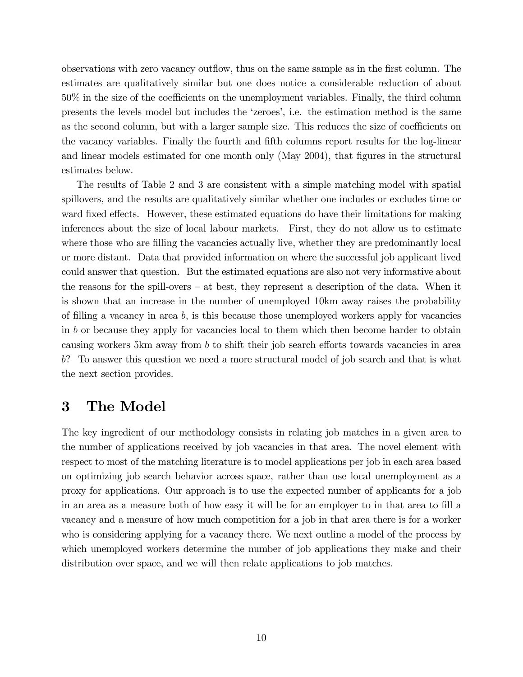observations with zero vacancy outflow, thus on the same sample as in the first column. The estimates are qualitatively similar but one does notice a considerable reduction of about  $50\%$  in the size of the coefficients on the unemployment variables. Finally, the third column presents the levels model but includes the ëzeroesí, i.e. the estimation method is the same as the second column, but with a larger sample size. This reduces the size of coefficients on the vacancy variables. Finally the fourth and fifth columns report results for the log-linear and linear models estimated for one month only (May 2004), that figures in the structural estimates below.

The results of Table 2 and 3 are consistent with a simple matching model with spatial spillovers, and the results are qualitatively similar whether one includes or excludes time or ward fixed effects. However, these estimated equations do have their limitations for making inferences about the size of local labour markets. First, they do not allow us to estimate where those who are filling the vacancies actually live, whether they are predominantly local or more distant. Data that provided information on where the successful job applicant lived could answer that question. But the estimated equations are also not very informative about the reasons for the spill-overs  $-$  at best, they represent a description of the data. When it is shown that an increase in the number of unemployed 10km away raises the probability of filling a vacancy in area  $b$ , is this because those unemployed workers apply for vacancies in b or because they apply for vacancies local to them which then become harder to obtain causing workers 5km away from  $b$  to shift their job search efforts towards vacancies in area b? To answer this question we need a more structural model of job search and that is what the next section provides.

# 3 The Model

The key ingredient of our methodology consists in relating job matches in a given area to the number of applications received by job vacancies in that area. The novel element with respect to most of the matching literature is to model applications per job in each area based on optimizing job search behavior across space, rather than use local unemployment as a proxy for applications. Our approach is to use the expected number of applicants for a job in an area as a measure both of how easy it will be for an employer to in that area to fill a vacancy and a measure of how much competition for a job in that area there is for a worker who is considering applying for a vacancy there. We next outline a model of the process by which unemployed workers determine the number of job applications they make and their distribution over space, and we will then relate applications to job matches.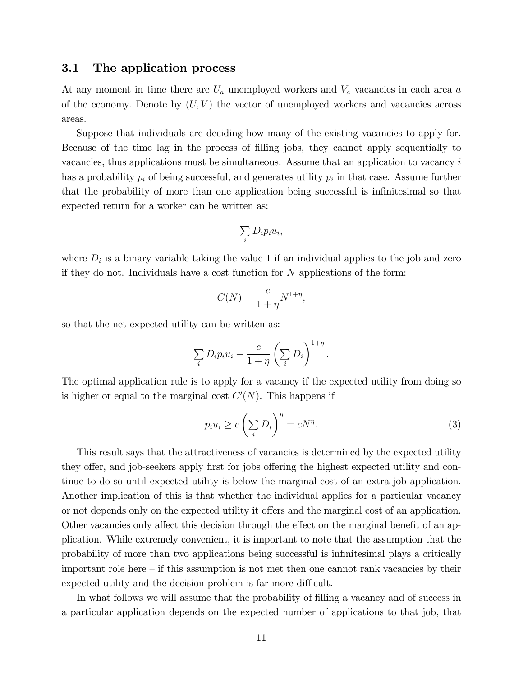#### 3.1 The application process

At any moment in time there are  $U_a$  unemployed workers and  $V_a$  vacancies in each area a of the economy. Denote by  $(U, V)$  the vector of unemployed workers and vacancies across areas.

Suppose that individuals are deciding how many of the existing vacancies to apply for. Because of the time lag in the process of Ölling jobs, they cannot apply sequentially to vacancies, thus applications must be simultaneous. Assume that an application to vacancy i has a probability  $p_i$  of being successful, and generates utility  $p_i$  in that case. Assume further that the probability of more than one application being successful is infinitesimal so that expected return for a worker can be written as:

$$
\sum_i D_i p_i u_i,
$$

where  $D_i$  is a binary variable taking the value 1 if an individual applies to the job and zero if they do not. Individuals have a cost function for N applications of the form:

$$
C(N) = \frac{c}{1+\eta} N^{1+\eta},
$$

so that the net expected utility can be written as:

$$
\sum_{i} D_{i} p_{i} u_{i} - \frac{c}{1 + \eta} \left(\sum_{i} D_{i}\right)^{1 + \eta}
$$

The optimal application rule is to apply for a vacancy if the expected utility from doing so is higher or equal to the marginal cost  $C'(N)$ . This happens if

$$
p_i u_i \ge c \left(\sum_i D_i\right)^{\eta} = cN^{\eta}.
$$
\n(3)

:

This result says that the attractiveness of vacancies is determined by the expected utility they offer, and job-seekers apply first for jobs offering the highest expected utility and continue to do so until expected utility is below the marginal cost of an extra job application. Another implication of this is that whether the individual applies for a particular vacancy or not depends only on the expected utility it offers and the marginal cost of an application. Other vacancies only affect this decision through the effect on the marginal benefit of an application. While extremely convenient, it is important to note that the assumption that the probability of more than two applications being successful is infinitesimal plays a critically important role here  $\overline{\phantom{a}}$  if this assumption is not met then one cannot rank vacancies by their expected utility and the decision-problem is far more difficult.

In what follows we will assume that the probability of filling a vacancy and of success in a particular application depends on the expected number of applications to that job, that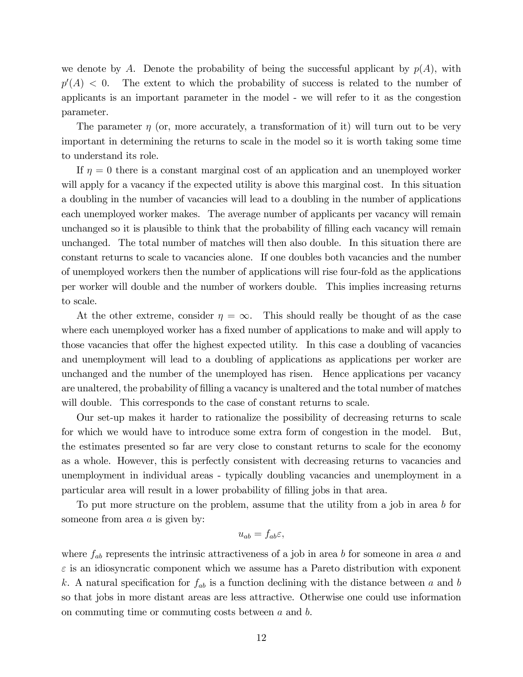we denote by A. Denote the probability of being the successful applicant by  $p(A)$ , with  $p^{\prime}$ The extent to which the probability of success is related to the number of applicants is an important parameter in the model - we will refer to it as the congestion parameter.

The parameter  $\eta$  (or, more accurately, a transformation of it) will turn out to be very important in determining the returns to scale in the model so it is worth taking some time to understand its role.

If  $\eta = 0$  there is a constant marginal cost of an application and an unemployed worker will apply for a vacancy if the expected utility is above this marginal cost. In this situation a doubling in the number of vacancies will lead to a doubling in the number of applications each unemployed worker makes. The average number of applicants per vacancy will remain unchanged so it is plausible to think that the probability of Ölling each vacancy will remain unchanged. The total number of matches will then also double. In this situation there are constant returns to scale to vacancies alone. If one doubles both vacancies and the number of unemployed workers then the number of applications will rise four-fold as the applications per worker will double and the number of workers double. This implies increasing returns to scale.

At the other extreme, consider  $\eta = \infty$ . This should really be thought of as the case where each unemployed worker has a fixed number of applications to make and will apply to those vacancies that offer the highest expected utility. In this case a doubling of vacancies and unemployment will lead to a doubling of applications as applications per worker are unchanged and the number of the unemployed has risen. Hence applications per vacancy are unaltered, the probability of filling a vacancy is unaltered and the total number of matches will double. This corresponds to the case of constant returns to scale.

Our set-up makes it harder to rationalize the possibility of decreasing returns to scale for which we would have to introduce some extra form of congestion in the model. But, the estimates presented so far are very close to constant returns to scale for the economy as a whole. However, this is perfectly consistent with decreasing returns to vacancies and unemployment in individual areas - typically doubling vacancies and unemployment in a particular area will result in a lower probability of Ölling jobs in that area.

To put more structure on the problem, assume that the utility from a job in area b for someone from area  $a$  is given by:

$$
u_{ab}=f_{ab}\varepsilon,
$$

where  $f_{ab}$  represents the intrinsic attractiveness of a job in area b for someone in area a and  $\varepsilon$  is an idiosyncratic component which we assume has a Pareto distribution with exponent k. A natural specification for  $f_{ab}$  is a function declining with the distance between a and b so that jobs in more distant areas are less attractive. Otherwise one could use information on commuting time or commuting costs between a and b.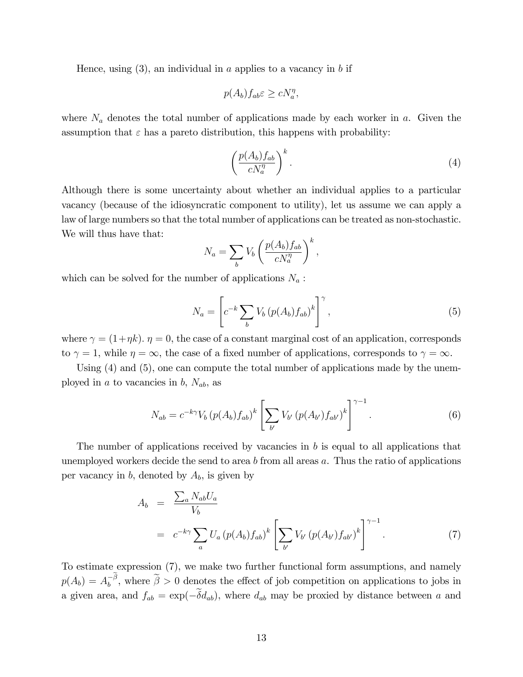Hence, using  $(3)$ , an individual in a applies to a vacancy in b if

$$
p(A_b) f_{ab} \varepsilon \ge c N_a^{\eta},
$$

where  $N_a$  denotes the total number of applications made by each worker in a. Given the assumption that  $\varepsilon$  has a pareto distribution, this happens with probability:

$$
\left(\frac{p(A_b)f_{ab}}{cN_a^{\eta}}\right)^k.\tag{4}
$$

Although there is some uncertainty about whether an individual applies to a particular vacancy (because of the idiosyncratic component to utility), let us assume we can apply a law of large numbers so that the total number of applications can be treated as non-stochastic. We will thus have that:

$$
N_a = \sum_b V_b \left( \frac{p(A_b) f_{ab}}{c N_a^{\eta}} \right)^k,
$$

which can be solved for the number of applications  $N_a$ :

$$
N_a = \left[ c^{-k} \sum_b V_b \left( p(A_b) f_{ab} \right)^k \right]^\gamma, \tag{5}
$$

where  $\gamma = (1 + \eta k)$ .  $\eta = 0$ , the case of a constant marginal cost of an application, corresponds to  $\gamma = 1$ , while  $\eta = \infty$ , the case of a fixed number of applications, corresponds to  $\gamma = \infty$ .

Using (4) and (5), one can compute the total number of applications made by the unemployed in a to vacancies in b,  $N_{ab}$ , as

$$
N_{ab} = c^{-k\gamma} V_b (p(A_b) f_{ab})^k \left[ \sum_{b'} V_{b'} (p(A_{b'}) f_{ab'})^k \right]^{\gamma - 1}.
$$
 (6)

The number of applications received by vacancies in b is equal to all applications that unemployed workers decide the send to area b from all areas  $a$ . Thus the ratio of applications per vacancy in  $b$ , denoted by  $A_b$ , is given by

$$
A_b = \frac{\sum_a N_{ab} U_a}{V_b}
$$
  
=  $c^{-k\gamma} \sum_a U_a (p(A_b) f_{ab})^k \left[ \sum_{b'} V_{b'} (p(A_{b'}) f_{ab'})^k \right]^{\gamma - 1}$ . (7)

To estimate expression (7), we make two further functional form assumptions, and namely  $p(A_b) = A_b^{-\beta}$ , where  $\tilde{\beta} > 0$  denotes the effect of job competition on applications to jobs in a given area, and  $f_{ab} = \exp(-\tilde{\delta}d_{ab})$ , where  $d_{ab}$  may be proxied by distance between a and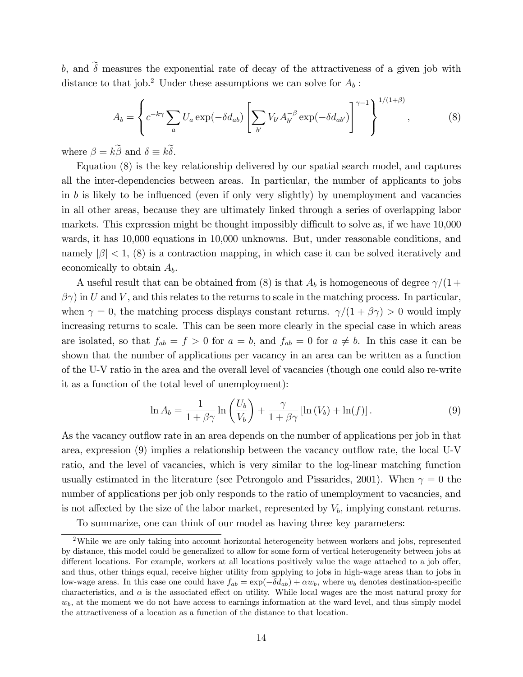b, and  $\tilde{\delta}$  measures the exponential rate of decay of the attractiveness of a given job with distance to that job.<sup>2</sup> Under these assumptions we can solve for  $A_b$ :

$$
A_b = \left\{ c^{-k\gamma} \sum_a U_a \exp(-\delta d_{ab}) \left[ \sum_{b'} V_{b'} A_{b'}^{-\beta} \exp(-\delta d_{ab'}) \right]^{\gamma - 1} \right\}^{1/(1+\beta)},\tag{8}
$$

where  $\beta = k\beta$  and  $\delta \equiv k\delta$ .

Equation (8) is the key relationship delivered by our spatial search model, and captures all the inter-dependencies between areas. In particular, the number of applicants to jobs in b is likely to be influenced (even if only very slightly) by unemployment and vacancies in all other areas, because they are ultimately linked through a series of overlapping labor markets. This expression might be thought impossibly difficult to solve as, if we have  $10,000$ wards, it has 10,000 equations in 10,000 unknowns. But, under reasonable conditions, and namely  $|\beta|$  < 1, (8) is a contraction mapping, in which case it can be solved iteratively and economically to obtain  $A<sub>b</sub>$ .

A useful result that can be obtained from (8) is that  $A_b$  is homogeneous of degree  $\gamma/(1 +$  $\beta \gamma$  in U and V, and this relates to the returns to scale in the matching process. In particular, when  $\gamma = 0$ , the matching process displays constant returns.  $\gamma/(1 + \beta \gamma) > 0$  would imply increasing returns to scale. This can be seen more clearly in the special case in which areas are isolated, so that  $f_{ab} = f > 0$  for  $a = b$ , and  $f_{ab} = 0$  for  $a \neq b$ . In this case it can be shown that the number of applications per vacancy in an area can be written as a function of the U-V ratio in the area and the overall level of vacancies (though one could also re-write it as a function of the total level of unemployment):

$$
\ln A_b = \frac{1}{1 + \beta \gamma} \ln \left( \frac{U_b}{V_b} \right) + \frac{\gamma}{1 + \beta \gamma} \left[ \ln \left( V_b \right) + \ln(f) \right]. \tag{9}
$$

As the vacancy outflow rate in an area depends on the number of applications per job in that area, expression  $(9)$  implies a relationship between the vacancy outflow rate, the local U-V ratio, and the level of vacancies, which is very similar to the log-linear matching function usually estimated in the literature (see Petrongolo and Pissarides, 2001). When  $\gamma = 0$  the number of applications per job only responds to the ratio of unemployment to vacancies, and is not affected by the size of the labor market, represented by  $V<sub>b</sub>$ , implying constant returns.

To summarize, one can think of our model as having three key parameters:

<sup>2</sup>While we are only taking into account horizontal heterogeneity between workers and jobs, represented by distance, this model could be generalized to allow for some form of vertical heterogeneity between jobs at different locations. For example, workers at all locations positively value the wage attached to a job offer, and thus, other things equal, receive higher utility from applying to jobs in high-wage areas than to jobs in low-wage areas. In this case one could have  $f_{ab} = \exp(-\delta d_{ab}) + \alpha w_b$ , where  $w_b$  denotes destination-specific characteristics, and  $\alpha$  is the associated effect on utility. While local wages are the most natural proxy for  $w<sub>b</sub>$ , at the moment we do not have access to earnings information at the ward level, and thus simply model the attractiveness of a location as a function of the distance to that location.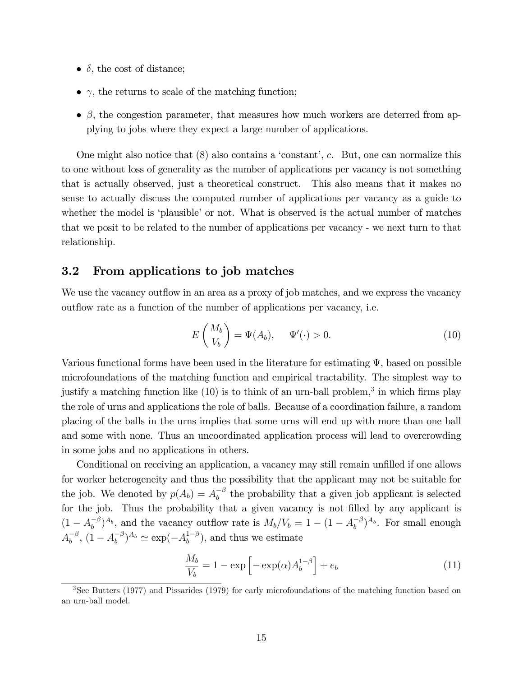- $\delta$ , the cost of distance;
- $\bullet$   $\gamma$ , the returns to scale of the matching function;
- $\bullet$ , the congestion parameter, that measures how much workers are deterred from applying to jobs where they expect a large number of applications.

One might also notice that  $(8)$  also contains a 'constant', c. But, one can normalize this to one without loss of generality as the number of applications per vacancy is not something that is actually observed, just a theoretical construct. This also means that it makes no sense to actually discuss the computed number of applications per vacancy as a guide to whether the model is 'plausible' or not. What is observed is the actual number of matches that we posit to be related to the number of applications per vacancy - we next turn to that relationship.

#### 3.2 From applications to job matches

We use the vacancy outflow in an area as a proxy of job matches, and we express the vacancy outflow rate as a function of the number of applications per vacancy, i.e.

$$
E\left(\frac{M_b}{V_b}\right) = \Psi(A_b), \quad \Psi'(\cdot) > 0.
$$
\n(10)

Various functional forms have been used in the literature for estimating  $\Psi$ , based on possible microfoundations of the matching function and empirical tractability. The simplest way to justify a matching function like  $(10)$  is to think of an urn-ball problem,<sup>3</sup> in which firms play the role of urns and applications the role of balls. Because of a coordination failure, a random placing of the balls in the urns implies that some urns will end up with more than one ball and some with none. Thus an uncoordinated application process will lead to overcrowding in some jobs and no applications in others.

Conditional on receiving an application, a vacancy may still remain unfilled if one allows for worker heterogeneity and thus the possibility that the applicant may not be suitable for the job. We denoted by  $p(A_b) = A_b^{-\beta}$  the probability that a given job applicant is selected for the job. Thus the probability that a given vacancy is not filled by any applicant is  $(1 - A_b^{-\beta})^{A_b}$ , and the vacancy outflow rate is  $M_b/V_b = 1 - (1 - A_b^{-\beta})^{A_b}$ . For small enough  $A_b^{-\beta}$ ,  $(1 - A_b^{-\beta})^{A_b} \simeq \exp(-A_b^{1-\beta})$ , and thus we estimate

$$
\frac{M_b}{V_b} = 1 - \exp\left[-\exp(\alpha)A_b^{1-\beta}\right] + e_b \tag{11}
$$

<sup>3</sup>See Butters (1977) and Pissarides (1979) for early microfoundations of the matching function based on an urn-ball model.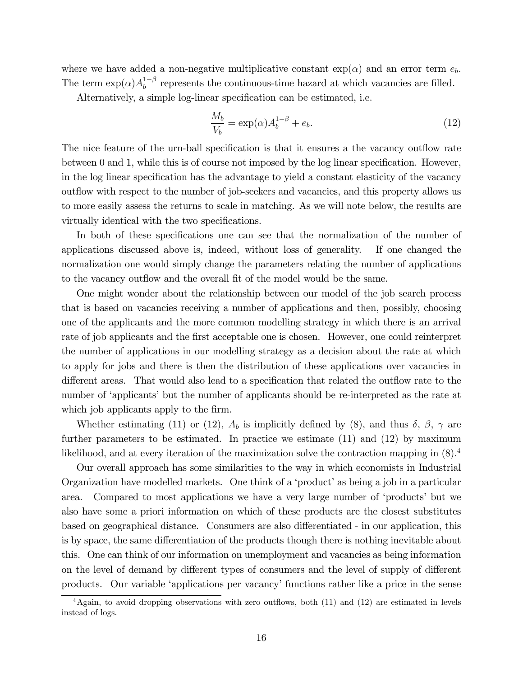where we have added a non-negative multiplicative constant  $\exp(\alpha)$  and an error term  $e_b$ . The term  $\exp(\alpha)A_b^{1-\beta}$  represents the continuous-time hazard at which vacancies are filled.

Alternatively, a simple log-linear specification can be estimated, i.e.

$$
\frac{M_b}{V_b} = \exp(\alpha)A_b^{1-\beta} + e_b.
$$
\n(12)

The nice feature of the urn-ball specification is that it ensures a the vacancy outflow rate between  $0$  and  $1$ , while this is of course not imposed by the log linear specification. However, in the log linear specification has the advantage to yield a constant elasticity of the vacancy out flow with respect to the number of job-seekers and vacancies, and this property allows us to more easily assess the returns to scale in matching. As we will note below, the results are virtually identical with the two specifications.

In both of these specifications one can see that the normalization of the number of applications discussed above is, indeed, without loss of generality. If one changed the normalization one would simply change the parameters relating the number of applications to the vacancy outflow and the overall fit of the model would be the same.

One might wonder about the relationship between our model of the job search process that is based on vacancies receiving a number of applications and then, possibly, choosing one of the applicants and the more common modelling strategy in which there is an arrival rate of job applicants and the first acceptable one is chosen. However, one could reinterpret the number of applications in our modelling strategy as a decision about the rate at which to apply for jobs and there is then the distribution of these applications over vacancies in different areas. That would also lead to a specification that related the outflow rate to the number of 'applicants' but the number of applicants should be re-interpreted as the rate at which job applicants apply to the firm.

Whether estimating (11) or (12),  $A_b$  is implicitly defined by (8), and thus  $\delta$ ,  $\beta$ ,  $\gamma$  are further parameters to be estimated. In practice we estimate (11) and (12) by maximum likelihood, and at every iteration of the maximization solve the contraction mapping in  $(8)$ .<sup>4</sup>

Our overall approach has some similarities to the way in which economists in Industrial Organization have modelled markets. One think of a 'product' as being a job in a particular area. Compared to most applications we have a very large number of ëproductsí but we also have some a priori information on which of these products are the closest substitutes based on geographical distance. Consumers are also differentiated - in our application, this is by space, the same differentiation of the products though there is nothing inevitable about this. One can think of our information on unemployment and vacancies as being information on the level of demand by different types of consumers and the level of supply of different products. Our variable ëapplications per vacancyífunctions rather like a price in the sense

 $4$ Again, to avoid dropping observations with zero outflows, both (11) and (12) are estimated in levels instead of logs.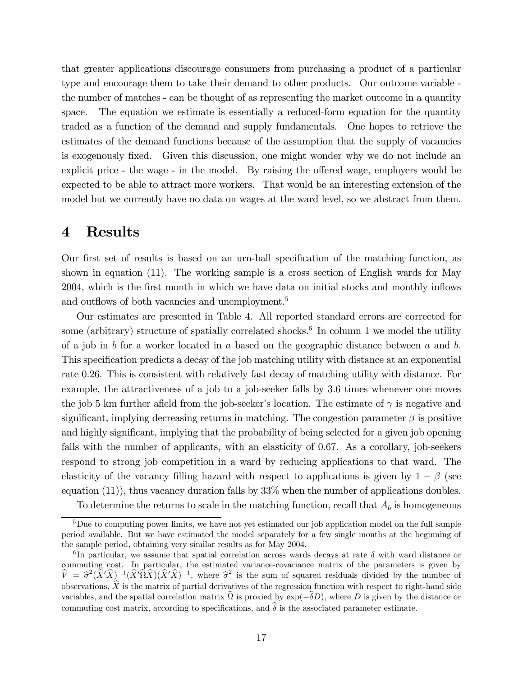that greater applications discourage consumers from purchasing a product of a particular type and encourage them to take their demand to other products. Our outcome variable the number of matches - can be thought of as representing the market outcome in a quantity space. The equation we estimate is essentially a reduced-form equation for the quantity traded as a function of the demand and supply fundamentals. One hopes to retrieve the estimates of the demand functions because of the assumption that the supply of vacancies is exogenously fixed. Given this discussion, one might wonder why we do not include an explicit price - the wage - in the model. By raising the offered wage, employers would be expected to be able to attract more workers. That would be an interesting extension of the model but we currently have no data on wages at the ward level, so we abstract from them.

## 4 Results

Our first set of results is based on an urn-ball specification of the matching function, as shown in equation (11). The working sample is a cross section of English wards for May 2004, which is the first month in which we have data on initial stocks and monthly inflows and outflows of both vacancies and unemployment.<sup>5</sup>

Our estimates are presented in Table 4. All reported standard errors are corrected for some (arbitrary) structure of spatially correlated shocks.<sup>6</sup> In column 1 we model the utility of a job in  $b$  for a worker located in  $a$  based on the geographic distance between  $a$  and  $b$ . This specification predicts a decay of the job matching utility with distance at an exponential rate 0.26. This is consistent with relatively fast decay of matching utility with distance. For example, the attractiveness of a job to a job-seeker falls by 3.6 times whenever one moves the job 5 km further afield from the job-seeker's location. The estimate of  $\gamma$  is negative and significant, implying decreasing returns in matching. The congestion parameter  $\beta$  is positive and highly significant, implying that the probability of being selected for a given job opening falls with the number of applicants, with an elasticity of 0.67. As a corollary, job-seekers respond to strong job competition in a ward by reducing applications to that ward. The elasticity of the vacancy filling hazard with respect to applications is given by  $1 - \beta$  (see equation  $(11)$ , thus vacancy duration falls by  $33\%$  when the number of applications doubles.

To determine the returns to scale in the matching function, recall that  $A_b$  is homogeneous

<sup>&</sup>lt;sup>5</sup>Due to computing power limits, we have not yet estimated our job application model on the full sample period available. But we have estimated the model separately for a few single months at the beginning of the sample period, obtaining very similar results as for May 2004.

<sup>&</sup>lt;sup>6</sup>In particular, we assume that spatial correlation across wards decays at rate  $\delta$  with ward distance or commuting cost. In particular, the estimated variance-covariance matrix of the parameters is given by  $\hat{V} = \hat{\sigma}^2 (\hat{X}'\hat{X})^{-1} (\hat{X}'\hat{\Omega}\hat{X}) (\hat{X}'\hat{X})^{-1}$ , where  $\hat{\sigma}^2$  is the sum of squared residuals divided by the number of observations,  $\hat{X}$  is the matrix of partial derivatives of the regression function with respect to right-hand side variables, and the spatial correlation matrix  $\Omega$  is proxied by  $\exp(-\delta D)$ , where D is given by the distance or commuting cost matrix, according to specifications, and  $\delta$  is the associated parameter estimate.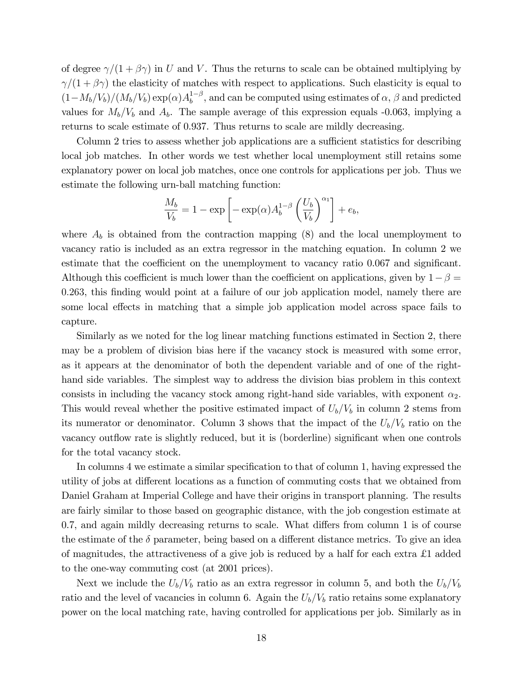of degree  $\gamma/(1+\beta\gamma)$  in U and V. Thus the returns to scale can be obtained multiplying by  $\gamma/(1+\beta\gamma)$  the elasticity of matches with respect to applications. Such elasticity is equal to  $(1-M_b/V_b)/(M_b/V_b) \exp(\alpha)A_b^{1-\beta}$ , and can be computed using estimates of  $\alpha$ ,  $\beta$  and predicted values for  $M_b/V_b$  and  $A_b$ . The sample average of this expression equals -0.063, implying a returns to scale estimate of 0.937. Thus returns to scale are mildly decreasing.

Column 2 tries to assess whether job applications are a sufficient statistics for describing local job matches. In other words we test whether local unemployment still retains some explanatory power on local job matches, once one controls for applications per job. Thus we estimate the following urn-ball matching function:

$$
\frac{M_b}{V_b} = 1 - \exp\left[-\exp(\alpha)A_b^{1-\beta} \left(\frac{U_b}{V_b}\right)^{\alpha_1}\right] + e_b,
$$

where  $A_b$  is obtained from the contraction mapping  $(8)$  and the local unemployment to vacancy ratio is included as an extra regressor in the matching equation. In column 2 we estimate that the coefficient on the unemployment to vacancy ratio 0.067 and significant. Although this coefficient is much lower than the coefficient on applications, given by  $1-\beta =$ 0.263, this finding would point at a failure of our job application model, namely there are some local effects in matching that a simple job application model across space fails to capture.

Similarly as we noted for the log linear matching functions estimated in Section 2, there may be a problem of division bias here if the vacancy stock is measured with some error, as it appears at the denominator of both the dependent variable and of one of the righthand side variables. The simplest way to address the division bias problem in this context consists in including the vacancy stock among right-hand side variables, with exponent  $\alpha_2$ . This would reveal whether the positive estimated impact of  $U_b/V_b$  in column 2 stems from its numerator or denominator. Column 3 shows that the impact of the  $U_b/V_b$  ratio on the vacancy outflow rate is slightly reduced, but it is (borderline) significant when one controls for the total vacancy stock.

In columns 4 we estimate a similar specification to that of column 1, having expressed the utility of jobs at different locations as a function of commuting costs that we obtained from Daniel Graham at Imperial College and have their origins in transport planning. The results are fairly similar to those based on geographic distance, with the job congestion estimate at  $0.7$ , and again mildly decreasing returns to scale. What differs from column 1 is of course the estimate of the  $\delta$  parameter, being based on a different distance metrics. To give an idea of magnitudes, the attractiveness of a give job is reduced by a half for each extra  $\pounds 1$  added to the one-way commuting cost (at 2001 prices).

Next we include the  $U_b/V_b$  ratio as an extra regressor in column 5, and both the  $U_b/V_b$ ratio and the level of vacancies in column 6. Again the  $U_b/V_b$  ratio retains some explanatory power on the local matching rate, having controlled for applications per job. Similarly as in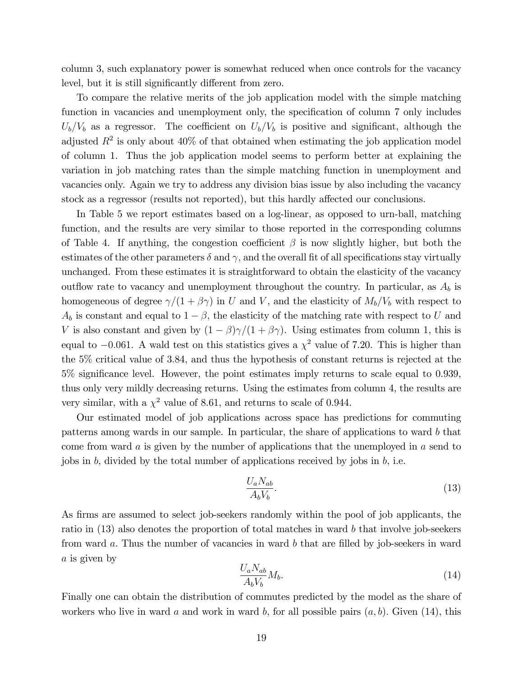column 3, such explanatory power is somewhat reduced when once controls for the vacancy level, but it is still significantly different from zero.

To compare the relative merits of the job application model with the simple matching function in vacancies and unemployment only, the specification of column 7 only includes  $U_b/V_b$  as a regressor. The coefficient on  $U_b/V_b$  is positive and significant, although the adjusted  $R^2$  is only about  $40\%$  of that obtained when estimating the job application model of column 1. Thus the job application model seems to perform better at explaining the variation in job matching rates than the simple matching function in unemployment and vacancies only. Again we try to address any division bias issue by also including the vacancy stock as a regressor (results not reported), but this hardly affected our conclusions.

In Table 5 we report estimates based on a log-linear, as opposed to urn-ball, matching function, and the results are very similar to those reported in the corresponding columns of Table 4. If anything, the congestion coefficient  $\beta$  is now slightly higher, but both the estimates of the other parameters  $\delta$  and  $\gamma$ , and the overall fit of all specifications stay virtually unchanged. From these estimates it is straightforward to obtain the elasticity of the vacancy outflow rate to vacancy and unemployment throughout the country. In particular, as  $A_b$  is homogeneous of degree  $\gamma/(1+\beta\gamma)$  in U and V, and the elasticity of  $M_b/V_b$  with respect to  $A_b$  is constant and equal to  $1-\beta$ , the elasticity of the matching rate with respect to U and V is also constant and given by  $(1 - \beta)\gamma/(1 + \beta\gamma)$ . Using estimates from column 1, this is equal to  $-0.061$ . A wald test on this statistics gives a  $\chi^2$  value of 7.20. This is higher than the 5% critical value of 3.84, and thus the hypothesis of constant returns is rejected at the  $5\%$  significance level. However, the point estimates imply returns to scale equal to 0.939, thus only very mildly decreasing returns. Using the estimates from column 4, the results are very similar, with a  $\chi^2$  value of 8.61, and returns to scale of 0.944.

Our estimated model of job applications across space has predictions for commuting patterns among wards in our sample. In particular, the share of applications to ward b that come from ward  $\alpha$  is given by the number of applications that the unemployed in  $\alpha$  send to jobs in  $b$ , divided by the total number of applications received by jobs in  $b$ , i.e.

$$
\frac{U_a N_{ab}}{A_b V_b}.\tag{13}
$$

As firms are assumed to select job-seekers randomly within the pool of job applicants, the ratio in (13) also denotes the proportion of total matches in ward b that involve job-seekers from ward  $a$ . Thus the number of vacancies in ward  $b$  that are filled by job-seekers in ward a is given by

$$
\frac{U_a N_{ab}}{A_b V_b} M_b. \tag{14}
$$

Finally one can obtain the distribution of commutes predicted by the model as the share of workers who live in ward a and work in ward b, for all possible pairs  $(a, b)$ . Given (14), this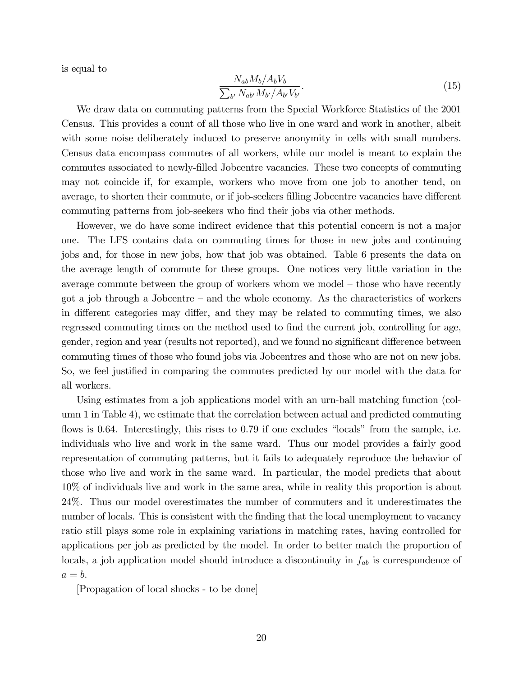is equal to

$$
\frac{N_{ab}M_b/A_bV_b}{\sum_{b'} N_{ab'}M_{b'}/A_{b'}V_{b'}}.\tag{15}
$$

We draw data on commuting patterns from the Special Workforce Statistics of the 2001 Census. This provides a count of all those who live in one ward and work in another, albeit with some noise deliberately induced to preserve anonymity in cells with small numbers. Census data encompass commutes of all workers, while our model is meant to explain the commutes associated to newly-Ölled Jobcentre vacancies. These two concepts of commuting may not coincide if, for example, workers who move from one job to another tend, on average, to shorten their commute, or if job-seekers filling Jobcentre vacancies have different commuting patterns from job-seekers who find their jobs via other methods.

However, we do have some indirect evidence that this potential concern is not a major one. The LFS contains data on commuting times for those in new jobs and continuing jobs and, for those in new jobs, how that job was obtained. Table 6 presents the data on the average length of commute for these groups. One notices very little variation in the average commute between the group of workers whom we model  $-$  those who have recently got a job through a Jobcentre  $-$  and the whole economy. As the characteristics of workers in different categories may differ, and they may be related to commuting times, we also regressed commuting times on the method used to find the current job, controlling for age, gender, region and year (results not reported), and we found no significant difference between commuting times of those who found jobs via Jobcentres and those who are not on new jobs. So, we feel justified in comparing the commutes predicted by our model with the data for all workers.

Using estimates from a job applications model with an urn-ball matching function (column 1 in Table 4), we estimate that the correlation between actual and predicted commuting flows is 0.64. Interestingly, this rises to 0.79 if one excludes "locals" from the sample, i.e. individuals who live and work in the same ward. Thus our model provides a fairly good representation of commuting patterns, but it fails to adequately reproduce the behavior of those who live and work in the same ward. In particular, the model predicts that about 10% of individuals live and work in the same area, while in reality this proportion is about 24%. Thus our model overestimates the number of commuters and it underestimates the number of locals. This is consistent with the finding that the local unemployment to vacancy ratio still plays some role in explaining variations in matching rates, having controlled for applications per job as predicted by the model. In order to better match the proportion of locals, a job application model should introduce a discontinuity in  $f_{ab}$  is correspondence of  $a = b$ .

[Propagation of local shocks - to be done]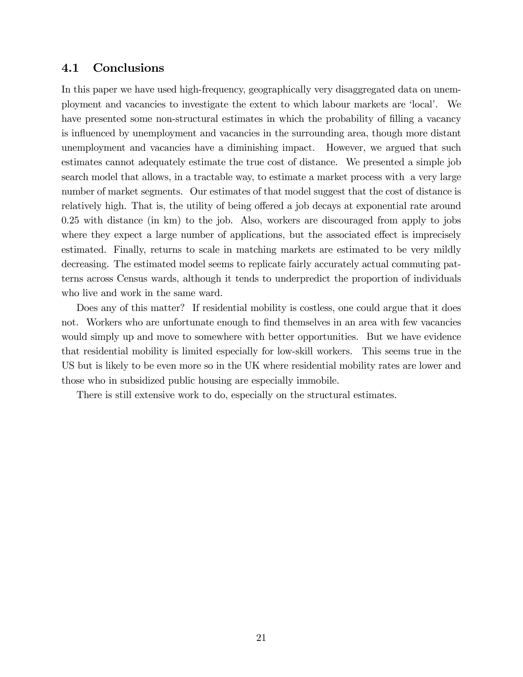#### 4.1 Conclusions

In this paper we have used high-frequency, geographically very disaggregated data on unemployment and vacancies to investigate the extent to which labour markets are ëlocalí. We have presented some non-structural estimates in which the probability of filling a vacancy is influenced by unemployment and vacancies in the surrounding area, though more distant unemployment and vacancies have a diminishing impact. However, we argued that such estimates cannot adequately estimate the true cost of distance. We presented a simple job search model that allows, in a tractable way, to estimate a market process with a very large number of market segments. Our estimates of that model suggest that the cost of distance is relatively high. That is, the utility of being offered a job decays at exponential rate around 0.25 with distance (in km) to the job. Also, workers are discouraged from apply to jobs where they expect a large number of applications, but the associated effect is imprecisely estimated. Finally, returns to scale in matching markets are estimated to be very mildly decreasing. The estimated model seems to replicate fairly accurately actual commuting patterns across Census wards, although it tends to underpredict the proportion of individuals who live and work in the same ward.

Does any of this matter? If residential mobility is costless, one could argue that it does not. Workers who are unfortunate enough to find themselves in an area with few vacancies would simply up and move to somewhere with better opportunities. But we have evidence that residential mobility is limited especially for low-skill workers. This seems true in the US but is likely to be even more so in the UK where residential mobility rates are lower and those who in subsidized public housing are especially immobile.

There is still extensive work to do, especially on the structural estimates.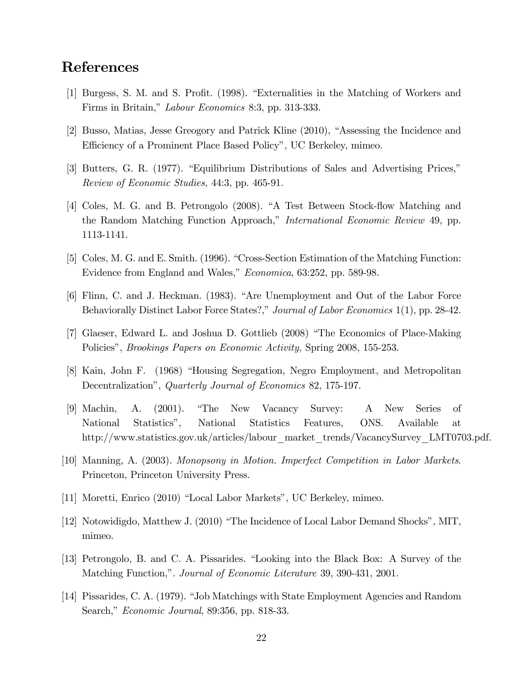# References

- [1] Burgess, S. M. and S. Profit. (1998). "Externalities in the Matching of Workers and Firms in Britain," Labour Economics 8:3, pp. 313-333.
- [2] Busso, Matias, Jesse Greogory and Patrick Kline (2010), "Assessing the Incidence and Efficiency of a Prominent Place Based Policy", UC Berkeley, mimeo.
- [3] Butters, G. R. (1977). "Equilibrium Distributions of Sales and Advertising Prices," Review of Economic Studies, 44:3, pp. 465-91.
- [4] Coles, M. G. and B. Petrongolo (2008). "A Test Between Stock-flow Matching and the Random Matching Function Approach," *International Economic Review* 49, pp. 1113-1141.
- [5] Coles, M. G. and E. Smith. (1996). "Cross-Section Estimation of the Matching Function: Evidence from England and Wales," *Economica*, 63:252, pp. 589-98.
- [6] Flinn, C. and J. Heckman. (1983). "Are Unemployment and Out of the Labor Force Behaviorally Distinct Labor Force States?," Journal of Labor Economics 1(1), pp. 28-42.
- [7] Glaeser, Edward L. and Joshua D. Gottlieb (2008) "The Economics of Place-Making Policies", *Brookings Papers on Economic Activity*, Spring 2008, 155-253.
- [8] Kain, John F. (1968) "Housing Segregation, Negro Employment, and Metropolitan Decentralization", Quarterly Journal of Economics 82, 175-197.
- [9] Machin, A. (2001). "The New Vacancy Survey: A New Series of National Statisticsî, National Statistics Features, ONS. Available at http://www.statistics.gov.uk/articles/labour\_market\_trends/VacancySurvey\_LMT0703.pdf.
- [10] Manning, A. (2003). Monopsony in Motion. Imperfect Competition in Labor Markets. Princeton, Princeton University Press.
- [11] Moretti, Enrico (2010) "Local Labor Markets", UC Berkeley, mimeo.
- [12] Notowidigdo, Matthew J. (2010) "The Incidence of Local Labor Demand Shocks", MIT, mimeo.
- [13] Petrongolo, B. and C. A. Pissarides. "Looking into the Black Box: A Survey of the Matching Function,". Journal of Economic Literature 39, 390-431, 2001.
- [14] Pissarides, C. A. (1979). "Job Matchings with State Employment Agencies and Random Search," *Economic Journal*, 89:356, pp. 818-33.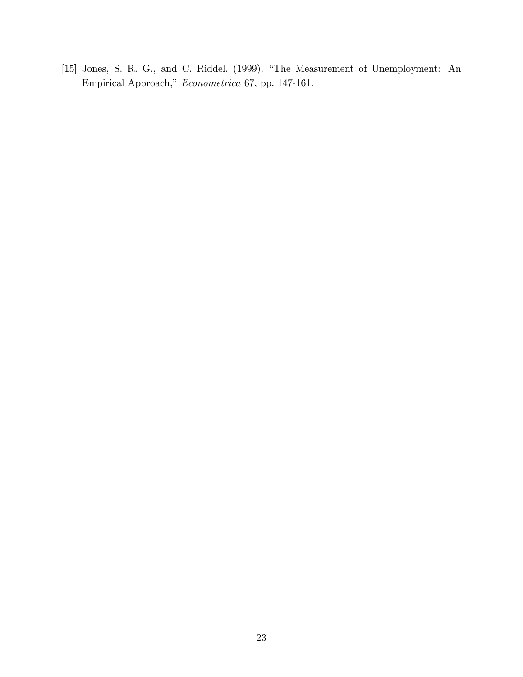[15] Jones, S. R. G., and C. Riddel. (1999). "The Measurement of Unemployment: An Empirical Approach," Econometrica 67, pp. 147-161.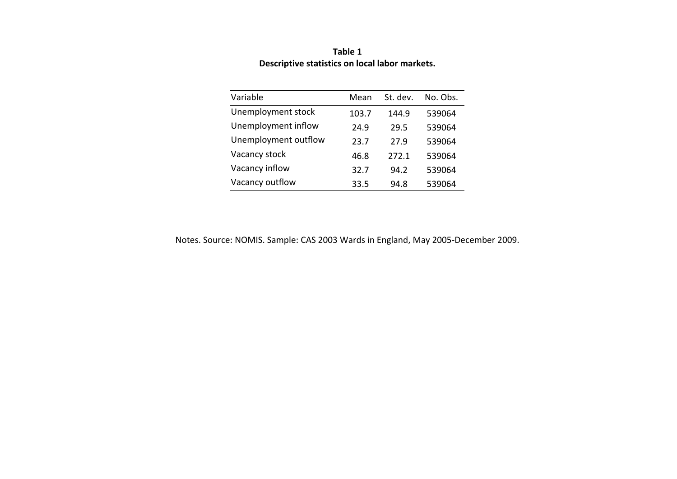| Variable             | Mean  | St. dev. | No. Obs. |
|----------------------|-------|----------|----------|
| Unemployment stock   | 103.7 | 144.9    | 539064   |
| Unemployment inflow  | 24.9  | 29.5     | 539064   |
| Unemployment outflow | 23.7  | 27.9     | 539064   |
| Vacancy stock        | 46.8  | 272.1    | 539064   |
| Vacancy inflow       | 32.7  | 94.2     | 539064   |
| Vacancy outflow      | 33.5  | 94.8     | 539064   |

**Table 1 Descriptive statistics on local labor markets.**

Notes. Source: NOMIS. Sample: CAS 2003 Wards in England, May 2005‐December 2009.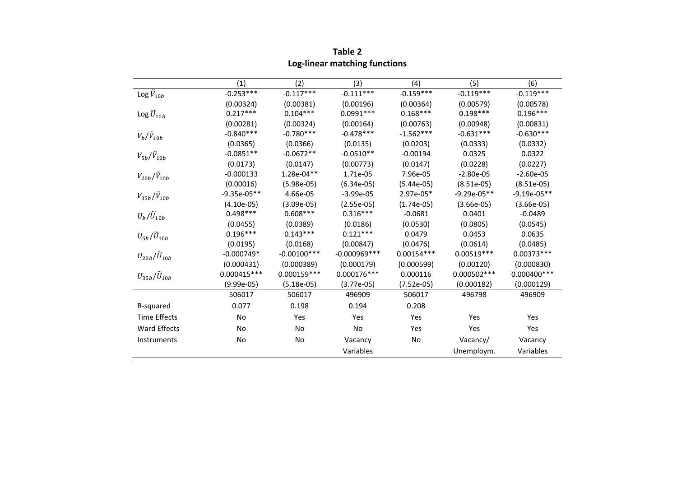|                               | (1)           | (2)            | (3)            | (4)          | (5)           | (6)            |
|-------------------------------|---------------|----------------|----------------|--------------|---------------|----------------|
| Log $\tilde{V}_{10b}$         | $-0.253***$   | $-0.117***$    | $-0.111***$    | $-0.159***$  | $-0.119***$   | $-0.119***$    |
|                               | (0.00324)     | (0.00381)      | (0.00196)      | (0.00364)    | (0.00579)     | (0.00578)      |
| Log $\widetilde{U}_{10b}$     | $0.217***$    | $0.104***$     | $0.0991***$    | $0.168***$   | $0.198***$    | $0.196***$     |
|                               | (0.00281)     | (0.00324)      | (0.00164)      | (0.00763)    | (0.00948)     | (0.00831)      |
| $V_b/\tilde{V}_{10b}$         | $-0.840***$   | $-0.780***$    | $-0.478***$    | $-1.562***$  | $-0.631***$   | $-0.630***$    |
|                               | (0.0365)      | (0.0366)       | (0.0135)       | (0.0203)     | (0.0333)      | (0.0332)       |
| $V_{5b}/\tilde{V}_{10b}$      | $-0.0851**$   | $-0.0672**$    | $-0.0510**$    | $-0.00194$   | 0.0325        | 0.0322         |
|                               | (0.0173)      | (0.0147)       | (0.00773)      | (0.0147)     | (0.0228)      | (0.0227)       |
| $V_{20b}/\tilde{V}_{10b}$     | $-0.000133$   | 1.28e-04**     | 1.71e-05       | 7.96e-05     | $-2.80e-05$   | $-2.60e-05$    |
|                               | (0.00016)     | $(5.98e-05)$   | $(6.34e-05)$   | $(5.44e-05)$ | $(8.51e-05)$  | $(8.51e-05)$   |
| $V_{35b}/\tilde{V}_{10b}$     | $-9.35e-05**$ | 4.66e-05       | $-3.99e-05$    | 2.97e-05*    | $-9.29e-05**$ | $-9.19e-05**$  |
|                               | $(4.10e-05)$  | $(3.09e-05)$   | $(2.55e-05)$   | $(1.74e-05)$ | $(3.66e-05)$  | $(3.66e-05)$   |
| $U_b/\widetilde{U}_{10b}$     | $0.498***$    | $0.608***$     | $0.316***$     | $-0.0681$    | 0.0401        | $-0.0489$      |
|                               | (0.0455)      | (0.0389)       | (0.0186)       | (0.0530)     | (0.0805)      | (0.0545)       |
| $U_{5b}/\widetilde{U}_{10b}$  | $0.196***$    | $0.143***$     | $0.121***$     | 0.0479       | 0.0453        | 0.0635         |
|                               | (0.0195)      | (0.0168)       | (0.00847)      | (0.0476)     | (0.0614)      | (0.0485)       |
| $U_{20b}/\widetilde{U}_{10b}$ | $-0.000749*$  | $-0.00100$ *** | $-0.000969***$ | $0.00154***$ | $0.00519***$  | 0.00373 ***    |
|                               | (0.000431)    | (0.000389)     | (0.000179)     | (0.000599)   | (0.00120)     | (0.000830)     |
| $U_{35b}/\tilde{U}_{10b}$     | $0.000415***$ | $0.000159***$  | $0.000176***$  | 0.000116     | $0.000502***$ | $0.000400$ *** |
|                               | $(9.99e-05)$  | $(5.18e-05)$   | $(3.77e-05)$   | $(7.52e-05)$ | (0.000182)    | (0.000129)     |
|                               | 506017        | 506017         | 496909         | 506017       | 496798        | 496909         |
| R-squared                     | 0.077         | 0.198          | 0.194          | 0.208        |               |                |
| <b>Time Effects</b>           | No            | Yes            | Yes            | Yes          | Yes           | Yes            |
| <b>Ward Effects</b>           | No            | No             | No.            | Yes          | Yes           | Yes            |
| Instruments                   | No            | No             | Vacancy        | No           | Vacancy/      | Vacancy        |
|                               |               |                | Variables      |              | Unemploym.    | Variables      |

**Table 2 Log‐linear matching functions**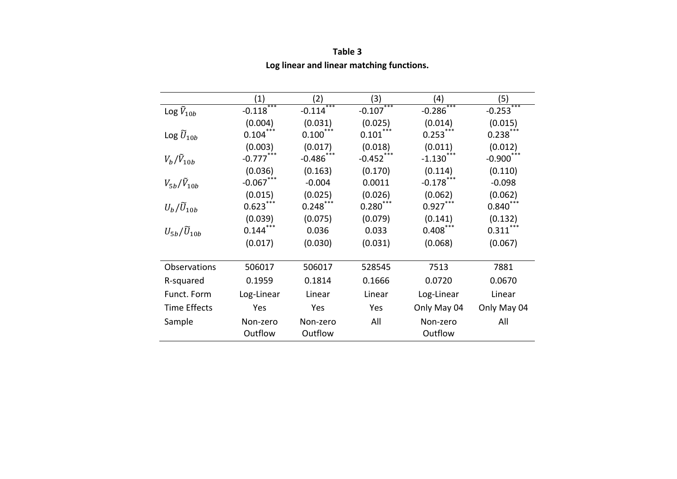|                              | (1)                 | (2)                 | (3)                            | (4)                 | (5)                     |
|------------------------------|---------------------|---------------------|--------------------------------|---------------------|-------------------------|
| Log $\tilde{V}_{10b}$        | ***<br>$-0.118$     | ***<br>$-0.114$     | ***<br>$-0.107$                | $-0.286$ ***        | $-0.253***$             |
|                              | (0.004)             | (0.031)             | (0.025)                        | (0.014)             | (0.015)                 |
| Log $\widetilde{U}_{10b}$    | $0.104***$          | $0.100***$          | $0.101\sp{*}^{***}$            | $0.253***$          | $0.238***$              |
|                              | (0.003)             | (0.017)             | (0.018)                        | (0.011)             | (0.012)                 |
| $V_b/\tilde{V}_{10b}$        | $-0.777***$         | $-0.486$ ***        | $-0.452$ ***                   | $-1.130$            | $-0.900$ <sup>***</sup> |
|                              | (0.036)             | (0.163)             | (0.170)                        | (0.114)             | (0.110)                 |
| $V_{5h}/V_{10h}$             | $-0.067$ ***        | $-0.004$            | 0.0011                         | $-0.178$            | $-0.098$                |
|                              | (0.015)             | (0.025)             | (0.026)                        | (0.062)             | (0.062)                 |
| $U_b/\widetilde{U}_{10b}$    | $0.623***$          | $0.248***$          | $0.280^\ast{}^{\ast}{}^{\ast}$ | $0.927***$          | $0.840***$              |
|                              | (0.039)             | (0.075)             | (0.079)                        | (0.141)             | (0.132)                 |
| $U_{5b}/\widetilde{U}_{10b}$ | $0.144***$          | 0.036               | 0.033                          | $0.408$ ***         | $0.311***$              |
|                              | (0.017)             | (0.030)             | (0.031)                        | (0.068)             | (0.067)                 |
|                              |                     |                     |                                |                     |                         |
| Observations                 | 506017              | 506017              | 528545                         | 7513                | 7881                    |
| R-squared                    | 0.1959              | 0.1814              | 0.1666                         | 0.0720              | 0.0670                  |
| Funct. Form                  | Log-Linear          | Linear              | Linear                         | Log-Linear          | Linear                  |
| <b>Time Effects</b>          | Yes                 | Yes                 | Yes                            | Only May 04         | Only May 04             |
| Sample                       | Non-zero<br>Outflow | Non-zero<br>Outflow | All                            | Non-zero<br>Outflow | All                     |

**Table 3 Log linear and linear matching functions.**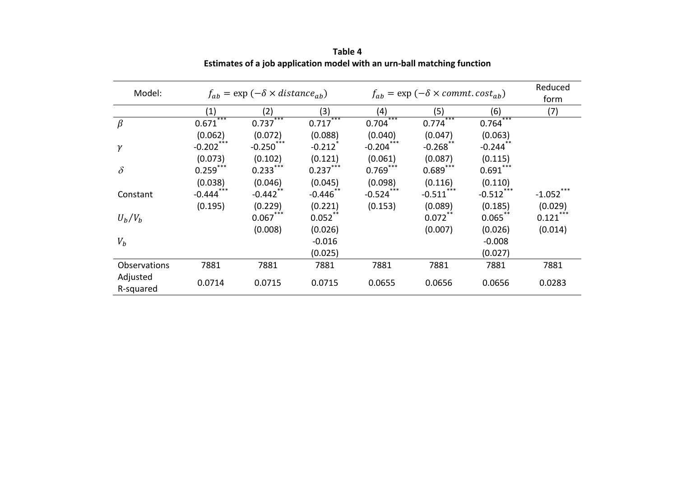| Model:                |                         | $f_{ab} = \exp(-\delta \times distance_{ab})$ |                       |              | $f_{ab}$ = exp ( $-\delta \times$ commt. cost <sub>ab</sub> ) |              | Reduced<br>form        |
|-----------------------|-------------------------|-----------------------------------------------|-----------------------|--------------|---------------------------------------------------------------|--------------|------------------------|
|                       | (1)                     | (2)                                           | (3)                   | (4)          | (5)                                                           | (6)          | (7)                    |
| $\beta$               | ***<br>0.671            | $0.737***$                                    | ***<br>0.717          | ***<br>0.704 | ***<br>0.774                                                  | ***<br>0.764 |                        |
|                       | (0.062)                 | (0.072)                                       | (0.088)               | (0.040)      | (0.047)                                                       | (0.063)      |                        |
| $\gamma$              | $-0.202***$             | $-0.250$ ***                                  | $-0.212$ <sup>*</sup> | $-0.204***$  | $-0.268$ **                                                   | $-0.244$ **  |                        |
|                       | (0.073)                 | (0.102)                                       | (0.121)               | (0.061)      | (0.087)                                                       | (0.115)      |                        |
| $\delta$              | $0.259***$              | $0.233***$                                    | $0.237***$            | $0.769***$   | $0.689***$                                                    | $0.691***$   |                        |
|                       | (0.038)                 | (0.046)                                       | (0.045)               | (0.098)      | (0.116)                                                       | (0.110)      |                        |
| Constant              | $-0.444$ <sup>***</sup> | $-0.442$ **                                   | $-0.446$ **           | $-0.524$ *** | $-0.511$ ***                                                  | $-0.512$ *** | $-1.052$ <sup>**</sup> |
|                       | (0.195)                 | (0.229)                                       | (0.221)               | (0.153)      | (0.089)                                                       | (0.185)      | (0.029)                |
| $U_b/V_b$             |                         | $0.067$ ***                                   | $0.052$ **            |              | $0.072***$                                                    | $0.065***$   | $0.121$ ***            |
|                       |                         | (0.008)                                       | (0.026)               |              | (0.007)                                                       | (0.026)      | (0.014)                |
| $V_b$                 |                         |                                               | $-0.016$              |              |                                                               | $-0.008$     |                        |
|                       |                         |                                               | (0.025)               |              |                                                               | (0.027)      |                        |
| Observations          | 7881                    | 7881                                          | 7881                  | 7881         | 7881                                                          | 7881         | 7881                   |
| Adjusted<br>R-squared | 0.0714                  | 0.0715                                        | 0.0715                | 0.0655       | 0.0656                                                        | 0.0656       | 0.0283                 |

**Table 4 Estimates of <sup>a</sup> job application model with an urn‐ball matching function**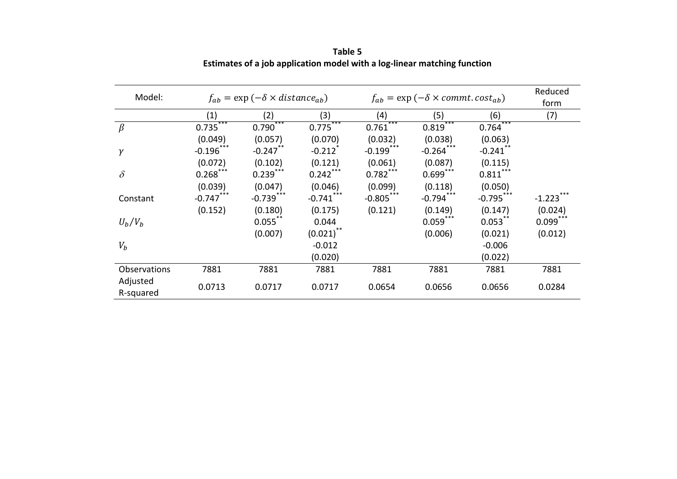| Model:       |              | $f_{ab}$ = exp ( $-\delta \times distance_{ab}$ ) |              |                        | $f_{ab}$ = exp ( $-\delta \times$ commt. cost <sub>ab</sub> ) |              | Reduced<br>form |
|--------------|--------------|---------------------------------------------------|--------------|------------------------|---------------------------------------------------------------|--------------|-----------------|
|              | (1)          | (2)                                               | (3)          | (4)                    | (5)                                                           | (6)          | (7)             |
| $\beta$      | $0.735***$   | ***<br>0.790                                      | ***<br>0.775 | ***<br>0.761           | ***<br>0.819                                                  | ***<br>0.764 |                 |
|              | (0.049)      | (0.057)                                           | (0.070)      | (0.032)                | (0.038)                                                       | (0.063)      |                 |
| $\gamma$     | $-0.196$ *** | $-0.247$ **                                       | $-0.212$     | $-0.199$ ***           | $-0.264$                                                      | $-0.241$ **  |                 |
|              | (0.072)      | (0.102)                                           | (0.121)      | (0.061)                | (0.087)                                                       | (0.115)      |                 |
| $\delta$     | $0.268***$   | $0.239***$                                        | $0.242$ ***  | $0.782$ <sup>***</sup> | $0.699***$                                                    | $0.811***$   |                 |
|              | (0.039)      | (0.047)                                           | (0.046)      | (0.099)                | (0.118)                                                       | (0.050)      |                 |
| Constant     | $-0.747***$  | $-0.739***$                                       | $-0.741***$  | $-0.805***$            | $-0.794***$                                                   | $-0.795***$  | $-1.223$        |
|              | (0.152)      | (0.180)                                           | (0.175)      | (0.121)                | (0.149)                                                       | (0.147)      | (0.024)         |
| $U_b/V_b$    |              | $0.055***$                                        | 0.044        |                        | $0.059***$                                                    | $0.053***$   | $0.099***$      |
|              |              | (0.007)                                           | $(0.021)$ ** |                        | (0.006)                                                       | (0.021)      | (0.012)         |
| $V_b$        |              |                                                   | $-0.012$     |                        |                                                               | $-0.006$     |                 |
|              |              |                                                   | (0.020)      |                        |                                                               | (0.022)      |                 |
| Observations | 7881         | 7881                                              | 7881         | 7881                   | 7881                                                          | 7881         | 7881            |
| Adjusted     |              |                                                   |              |                        |                                                               |              |                 |
| R-squared    | 0.0713       | 0.0717                                            | 0.0717       | 0.0654                 | 0.0656                                                        | 0.0656       | 0.0284          |

**Table 5 Estimates of <sup>a</sup> job application model with <sup>a</sup> log‐linear matching function**